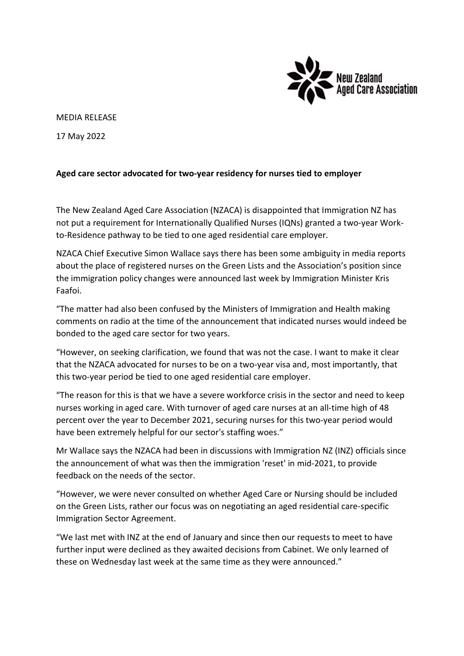

## MEDIA RELEASE

17 May 2022

## Aged care sector advocated for two-year residency for nurses tied to employer

The New Zealand Aged Care Association (NZACA) is disappointed that Immigration NZ has not put a requirement for Internationally Qualified Nurses (IQNs) granted a two-year Workto-Residence pathway to be tied to one aged residential care employer.

NZACA Chief Executive Simon Wallace says there has been some ambiguity in media reports about the place of registered nurses on the Green Lists and the Association's position since the immigration policy changes were announced last week by Immigration Minister Kris Faafoi.

"The matter had also been confused by the Ministers of Immigration and Health making comments on radio at the time of the announcement that indicated nurses would indeed be bonded to the aged care sector for two years.

"However, on seeking clarification, we found that was not the case. I want to make it clear that the NZACA advocated for nurses to be on a two-year visa and, most importantly, that this two-year period be tied to one aged residential care employer.

"The reason for this is that we have a severe workforce crisis in the sector and need to keep nurses working in aged care. With turnover of aged care nurses at an all-time high of 48 percent over the year to December 2021, securing nurses for this two-year period would have been extremely helpful for our sector's staffing woes."

Mr Wallace says the NZACA had been in discussions with Immigration NZ (INZ) officials since the announcement of what was then the immigration 'reset' in mid-2021, to provide feedback on the needs of the sector.

"However, we were never consulted on whether Aged Care or Nursing should be included on the Green Lists, rather our focus was on negotiating an aged residential care-specific Immigration Sector Agreement.

"We last met with INZ at the end of January and since then our requests to meet to have further input were declined as they awaited decisions from Cabinet. We only learned of these on Wednesday last week at the same time as they were announced."